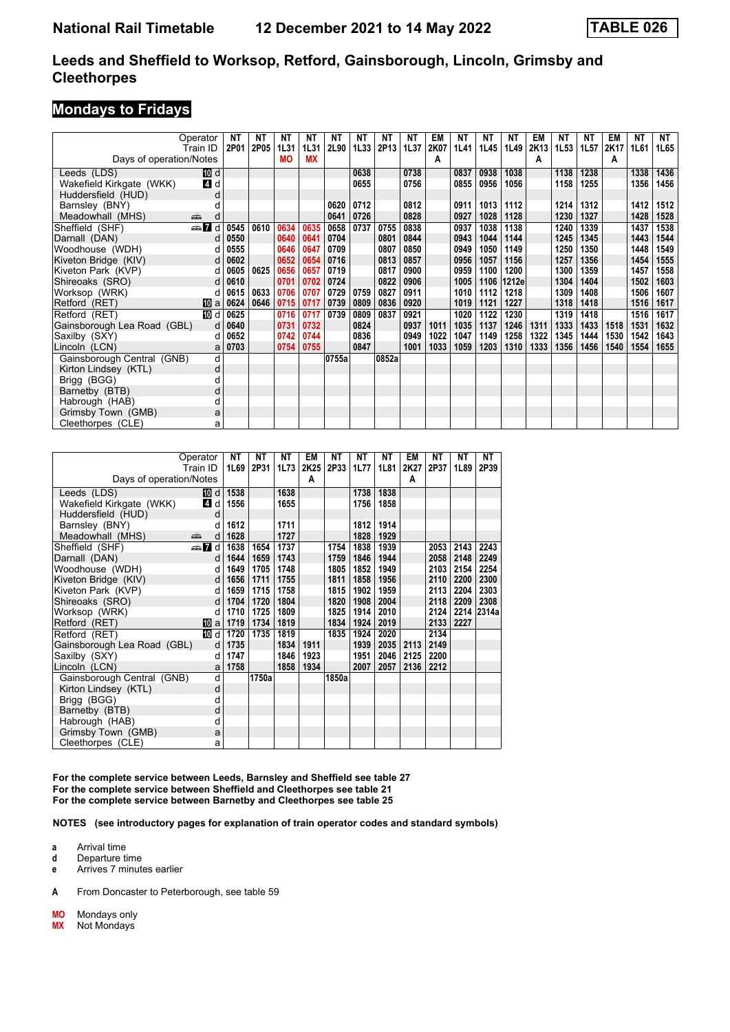#### **Leeds and Sheffield to Worksop, Retford, Gainsborough, Lincoln, Grimsby and Cleethorpes**

### **Mondays to Fridays**

|                             | Operator      | ΝT   | ΝT   | NΤ        | ΝT   | NT    | NT   | NΤ    | ΝT   | EM   | ΝT   | NΤ   | NΤ    | EM   | NΤ   | NΤ   | EM   | ΝT   | NT   |
|-----------------------------|---------------|------|------|-----------|------|-------|------|-------|------|------|------|------|-------|------|------|------|------|------|------|
|                             | Train ID      | 2P01 | 2P05 | 1L31      | 1L31 | 2L90  | 1L33 | 2P13  | 1L37 | 2K07 | 1L41 | 1L45 | 1L49  | 2K13 | 1L53 | 1L57 | 2K17 | 1L61 | 1L65 |
| Days of operation/Notes     |               |      |      | <b>MO</b> | МX   |       |      |       |      | A    |      |      |       | А    |      |      | A    |      |      |
| Leeds (LDS)                 | <b>IDI</b> d  |      |      |           |      |       | 0638 |       | 0738 |      | 0837 | 0938 | 1038  |      | 1138 | 1238 |      | 1338 | 1436 |
| Wakefield Kirkgate (WKK)    | 4 d           |      |      |           |      |       | 0655 |       | 0756 |      | 0855 | 0956 | 1056  |      | 1158 | 1255 |      | 1356 | 1456 |
| Huddersfield (HUD)          | d             |      |      |           |      |       |      |       |      |      |      |      |       |      |      |      |      |      |      |
| Barnsley (BNY)              |               |      |      |           |      | 0620  | 0712 |       | 0812 |      | 0911 | 1013 | 1112  |      | 1214 | 1312 |      | 1412 | 1512 |
| Meadowhall (MHS)            | منتقده<br>d   |      |      |           |      | 0641  | 0726 |       | 0828 |      | 0927 | 1028 | 1128  |      | 1230 | 1327 |      | 1428 | 1528 |
| Sheffield (SHF)             | <b>en 7</b> d | 0545 | 0610 | 0634      | 0635 | 0658  | 0737 | 0755  | 0838 |      | 0937 | 1038 | 1138  |      | 1240 | 1339 |      | 1437 | 1538 |
| Darnall (DAN)               |               | 0550 |      | 0640      | 0641 | 0704  |      | 0801  | 0844 |      | 0943 | 1044 | 1144  |      | 1245 | 1345 |      | 1443 | 1544 |
| Woodhouse (WDH)             | n             | 0555 |      | 0646      | 0647 | 0709  |      | 0807  | 0850 |      | 0949 | 1050 | 1149  |      | 1250 | 1350 |      | 1448 | 1549 |
| Kiveton Bridge (KIV)        | d             | 0602 |      | 0652      | 0654 | 0716  |      | 0813  | 0857 |      | 0956 | 1057 | 1156  |      | 1257 | 1356 |      | 1454 | 1555 |
| Kiveton Park (KVP)          |               | 0605 | 0625 | 0656      | 0657 | 0719  |      | 0817  | 0900 |      | 0959 | 1100 | 1200  |      | 1300 | 1359 |      | 1457 | 1558 |
| Shireoaks (SRO)             | d             | 0610 |      | 0701      | 0702 | 0724  |      | 0822  | 0906 |      | 1005 | 1106 | 1212e |      | 1304 | 1404 |      | 1502 | 1603 |
| Worksop (WRK)               | d             | 0615 | 0633 | 0706      | 0707 | 0729  | 0759 | 0827  | 0911 |      | 1010 | 1112 | 1218  |      | 1309 | 1408 |      | 1506 | 1607 |
| Retford (RET)               | <b>ID</b> a   | 0624 | 0646 | 0715      | 0717 | 0739  | 0809 | 0836  | 0920 |      | 1019 | 1121 | 1227  |      | 1318 | 1418 |      | 1516 | 1617 |
| Retford (RET)               | 10 d          | 0625 |      | 0716      | 0717 | 0739  | 0809 | 0837  | 0921 |      | 1020 | 1122 | 1230  |      | 1319 | 1418 |      | 1516 | 1617 |
| Gainsborough Lea Road (GBL) | d             | 0640 |      | 0731      | 0732 |       | 0824 |       | 0937 | 1011 | 1035 | 1137 | 1246  | 1311 | 1333 | 1433 | 1518 | 1531 | 1632 |
| Saxilby (SXY)               |               | 0652 |      | 0742      | 0744 |       | 0836 |       | 0949 | 1022 | 1047 | 1149 | 1258  | 1322 | 1345 | 1444 | 1530 | 1542 | 1643 |
| Lincoln (LCN)               |               | 0703 |      | 0754      | 0755 |       | 0847 |       | 1001 | 1033 | 1059 | 1203 | 1310  | 1333 | 1356 | 1456 | 1540 | 1554 | 1655 |
| Gainsborough Central (GNB)  | d             |      |      |           |      | 0755a |      | 0852a |      |      |      |      |       |      |      |      |      |      |      |
| Kirton Lindsey (KTL)        | d             |      |      |           |      |       |      |       |      |      |      |      |       |      |      |      |      |      |      |
| Brigg (BGG)                 |               |      |      |           |      |       |      |       |      |      |      |      |       |      |      |      |      |      |      |
| Barnetby (BTB)              |               |      |      |           |      |       |      |       |      |      |      |      |       |      |      |      |      |      |      |
| Habrough (HAB)              |               |      |      |           |      |       |      |       |      |      |      |      |       |      |      |      |      |      |      |
| Grimsby Town (GMB)          | a             |      |      |           |      |       |      |       |      |      |      |      |       |      |      |      |      |      |      |
| Cleethorpes (CLE)           | a             |      |      |           |      |       |      |       |      |      |      |      |       |      |      |      |      |      |      |

| Operator                    |            | NΤ   | NΤ    | NΤ   | EM   | NΤ    | <b>NT</b> | <b>NT</b> | <b>EM</b> | NΤ   | NΤ   | <b>NT</b> |
|-----------------------------|------------|------|-------|------|------|-------|-----------|-----------|-----------|------|------|-----------|
| Train ID                    |            | 1L69 | 2P31  | 1L73 | 2K25 | 2P33  | 1L77      | 1L81      | 2K27      | 2P37 | 1L89 | 2P39      |
| Days of operation/Notes     |            |      |       |      | A    |       |           |           | A         |      |      |           |
| Leeds (LDS)                 | [10] d     | 1538 |       | 1638 |      |       | 1738      | 1838      |           |      |      |           |
| Wakefield Kirkgate (WKK)    | 4 d        | 1556 |       | 1655 |      |       | 1756      | 1858      |           |      |      |           |
| Huddersfield (HUD)          | d          |      |       |      |      |       |           |           |           |      |      |           |
| Barnsley (BNY)              | d          | 1612 |       | 1711 |      |       | 1812      | 1914      |           |      |      |           |
| Meadowhall (MHS)<br>añ,     | d          | 1628 |       | 1727 |      |       | 1828      | 1929      |           |      |      |           |
| Sheffield (SHF)             | ana Mad    | 1638 | 1654  | 1737 |      | 1754  | 1838      | 1939      |           | 2053 | 2143 | 2243      |
| Darnall (DAN)               | d          | 1644 | 1659  | 1743 |      | 1759  | 1846      | 1944      |           | 2058 | 2148 | 2249      |
| Woodhouse (WDH)             | d          | 1649 | 1705  | 1748 |      | 1805  | 1852      | 1949      |           | 2103 | 2154 | 2254      |
| Kiveton Bridge (KIV)        | d          | 1656 | 1711  | 1755 |      | 1811  | 1858      | 1956      |           | 2110 | 2200 | 2300      |
| Kiveton Park (KVP)          | d          | 1659 | 1715  | 1758 |      | 1815  | 1902      | 1959      |           | 2113 | 2204 | 2303      |
| Shireoaks (SRO)             | d          | 1704 | 1720  | 1804 |      | 1820  | 1908      | 2004      |           | 2118 | 2209 | 2308      |
| Worksop (WRK)               | d          | 1710 | 1725  | 1809 |      | 1825  | 1914      | 2010      |           | 2124 | 2214 | 2314a     |
| Retford (RET)               | <b>而</b> a | 1719 | 1734  | 1819 |      | 1834  | 1924      | 2019      |           | 2133 | 2227 |           |
| Retford (RET)               | 10 d       | 1720 | 1735  | 1819 |      | 1835  | 1924      | 2020      |           | 2134 |      |           |
| Gainsborough Lea Road (GBL) | d          | 1735 |       | 1834 | 1911 |       | 1939      | 2035      | 2113      | 2149 |      |           |
| Saxilby (SXY)               | d          | 1747 |       | 1846 | 1923 |       | 1951      | 2046      | 2125      | 2200 |      |           |
| Lincoln (LCN)               | a          | 1758 |       | 1858 | 1934 |       | 2007      | 2057      | 2136      | 2212 |      |           |
| Gainsborough Central (GNB)  | d          |      | 1750a |      |      | 1850a |           |           |           |      |      |           |
| Kirton Lindsey (KTL)        | d          |      |       |      |      |       |           |           |           |      |      |           |
| Brigg (BGG)                 | d          |      |       |      |      |       |           |           |           |      |      |           |
| Barnetby (BTB)              | d          |      |       |      |      |       |           |           |           |      |      |           |
| Habrough (HAB)              | d          |      |       |      |      |       |           |           |           |      |      |           |
| Grimsby Town (GMB)          | a          |      |       |      |      |       |           |           |           |      |      |           |
| Cleethorpes (CLE)           | a          |      |       |      |      |       |           |           |           |      |      |           |

**For the complete service between Leeds, Barnsley and Sheffield see table 2 For the complete service between Sheffield and Cleethorpes see table 21 For the complete service between Barnetby and Cleethorpes see table 2**

**NOTES (see introductory pages for explanation of train operator codes and standard symbols)**

**a** Arrival time

**d** Departure time

**e** Arrives 7 minutes earlier

**A** From Doncaster to Peterborough, see table 59

**MO** Mondays only<br>**MX** Not Mondays

**0;** Not Mondays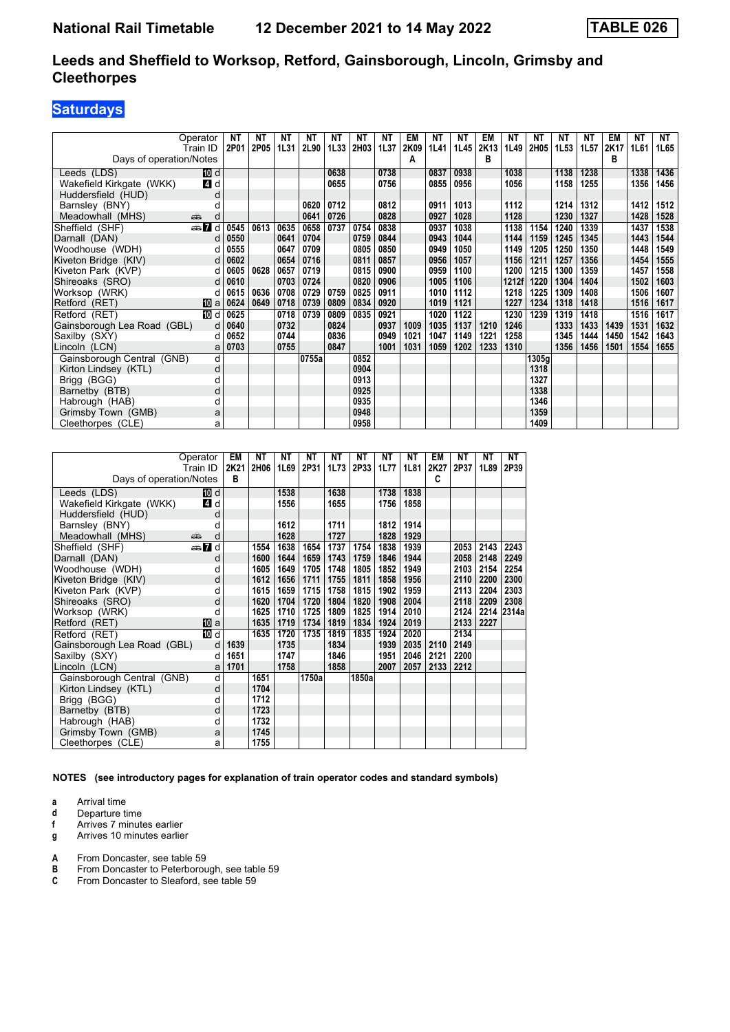### **Leeds and Sheffield to Worksop, Retford, Gainsborough, Lincoln, Grimsby and Cleethorpes**

# **Saturdays**

|                             | Operator     | ΝT   | NT   | NT   | NT          | NΤ   | NT   | NT   | EM   | NT   | NT   | EM   | NT    | NT    | NT   | NT   | EM   | ΝT   | <b>NT</b> |
|-----------------------------|--------------|------|------|------|-------------|------|------|------|------|------|------|------|-------|-------|------|------|------|------|-----------|
|                             | Train ID     | 2P01 | 2P05 | 1L31 | <b>2L90</b> | 1L33 | 2H03 | 1L37 | 2K09 | 1L41 | 1L45 | 2K13 | 1L49  | 2H05  | 1L53 | 1L57 | 2K17 | 1L61 | 1L65      |
| Days of operation/Notes     |              |      |      |      |             |      |      |      | А    |      |      | в    |       |       |      |      | в    |      |           |
| Leeds (LDS)                 | <b>IDI</b> d |      |      |      |             | 0638 |      | 0738 |      | 0837 | 0938 |      | 1038  |       | 1138 | 1238 |      | 1338 | 1436      |
| Wakefield Kirkgate (WKK)    | 4 d          |      |      |      |             | 0655 |      | 0756 |      | 0855 | 0956 |      | 1056  |       | 1158 | 1255 |      | 1356 | 1456      |
| Huddersfield (HUD)          | d            |      |      |      |             |      |      |      |      |      |      |      |       |       |      |      |      |      |           |
| Barnsley (BNY)              |              |      |      |      | 0620        | 0712 |      | 0812 |      | 0911 | 1013 |      | 1112  |       | 1214 | 1312 |      | 1412 | 1512      |
| Meadowhall (MHS)            | پیش<br>d     |      |      |      | 0641        | 0726 |      | 0828 |      | 0927 | 1028 |      | 1128  |       | 1230 | 1327 |      | 1428 | 1528      |
| Sheffield (SHF)             | d and        | 0545 | 0613 | 0635 | 0658        | 0737 | 0754 | 0838 |      | 0937 | 1038 |      | 1138  | 1154  | 1240 | 1339 |      | 1437 | 1538      |
| Darnall (DAN)               |              | 0550 |      | 0641 | 0704        |      | 0759 | 0844 |      | 0943 | 1044 |      | 1144  | 1159  | 1245 | 1345 |      | 1443 | 1544      |
| Woodhouse (WDH)             |              | 0555 |      | 0647 | 0709        |      | 0805 | 0850 |      | 0949 | 1050 |      | 1149  | 1205  | 1250 | 1350 |      | 1448 | 1549      |
| Kiveton Bridge (KIV)        | d            | 0602 |      | 0654 | 0716        |      | 0811 | 0857 |      | 0956 | 1057 |      | 1156  | 1211  | 1257 | 1356 |      | 1454 | 1555      |
| Kiveton Park (KVP)          |              | 0605 | 0628 | 0657 | 0719        |      | 0815 | 0900 |      | 0959 | 1100 |      | 1200  | 1215  | 1300 | 1359 |      | 1457 | 1558      |
| Shireoaks (SRO)             | d            | 0610 |      | 0703 | 0724        |      | 0820 | 0906 |      | 1005 | 1106 |      | 1212f | 1220  | 1304 | 1404 |      | 1502 | 1603      |
| Worksop (WRK)               | d            | 0615 | 0636 | 0708 | 0729        | 0759 | 0825 | 0911 |      | 1010 | 1112 |      | 1218  | 1225  | 1309 | 1408 |      | 1506 | 1607      |
| Retford (RET)               | 凹 a          | 0624 | 0649 | 0718 | 0739        | 0809 | 0834 | 0920 |      | 1019 | 1121 |      | 1227  | 1234  | 1318 | 1418 |      | 1516 | 1617      |
| Retford (RET)               | 10 d         | 0625 |      | 0718 | 0739        | 0809 | 0835 | 0921 |      | 1020 | 1122 |      | 1230  | 1239  | 1319 | 1418 |      | 1516 | 1617      |
| Gainsborough Lea Road (GBL) | d            | 0640 |      | 0732 |             | 0824 |      | 0937 | 1009 | 1035 | 1137 | 1210 | 1246  |       | 1333 | 1433 | 1439 | 1531 | 1632      |
| Saxilby (SXY)               |              | 0652 |      | 0744 |             | 0836 |      | 0949 | 1021 | 1047 | 1149 | 1221 | 1258  |       | 1345 | 1444 | 1450 | 1542 | 1643      |
| Lincoln (LCN)               |              | 0703 |      | 0755 |             | 0847 |      | 1001 | 1031 | 1059 | 1202 | 1233 | 1310  |       | 1356 | 1456 | 1501 | 1554 | 1655      |
| Gainsborough Central (GNB)  | d            |      |      |      | 0755a       |      | 0852 |      |      |      |      |      |       | 1305g |      |      |      |      |           |
| Kirton Lindsey (KTL)        | d            |      |      |      |             |      | 0904 |      |      |      |      |      |       | 1318  |      |      |      |      |           |
| Brigg (BGG)                 |              |      |      |      |             |      | 0913 |      |      |      |      |      |       | 1327  |      |      |      |      |           |
| Barnetby (BTB)              |              |      |      |      |             |      | 0925 |      |      |      |      |      |       | 1338  |      |      |      |      |           |
| Habrough (HAB)              |              |      |      |      |             |      | 0935 |      |      |      |      |      |       | 1346  |      |      |      |      |           |
| Grimsby Town (GMB)          | a            |      |      |      |             |      | 0948 |      |      |      |      |      |       | 1359  |      |      |      |      |           |
| Cleethorpes (CLE)           | a            |      |      |      |             |      | 0958 |      |      |      |      |      |       | 1409  |      |      |      |      |           |

|                             | Operator | EM   | NΤ   | NΤ   | NΤ    | NΤ   | NΤ    | NΤ   | NΤ   | EM   | NΤ   | ΝT   | NΤ    |
|-----------------------------|----------|------|------|------|-------|------|-------|------|------|------|------|------|-------|
|                             | Train ID | 2K21 | 2H06 | 1L69 | 2P31  | 1L73 | 2P33  | 1L77 | 1L81 | 2K27 | 2P37 | 1L89 | 2P39  |
| Days of operation/Notes     |          | B    |      |      |       |      |       |      |      | C    |      |      |       |
| Leeds (LDS)                 | [10] d   |      |      | 1538 |       | 1638 |       | 1738 | 1838 |      |      |      |       |
| Wakefield Kirkgate (WKK)    | 4 d      |      |      | 1556 |       | 1655 |       | 1756 | 1858 |      |      |      |       |
| Huddersfield (HUD)          | d        |      |      |      |       |      |       |      |      |      |      |      |       |
| Barnsley (BNY)              | d        |      |      | 1612 |       | 1711 |       | 1812 | 1914 |      |      |      |       |
| Meadowhall (MHS)            | پېښ<br>d |      |      | 1628 |       | 1727 |       | 1828 | 1929 |      |      |      |       |
| Sheffield (SHF)             | dan 7d   |      | 1554 | 1638 | 1654  | 1737 | 1754  | 1838 | 1939 |      | 2053 | 2143 | 2243  |
| Darnall (DAN)               | d        |      | 1600 | 1644 | 1659  | 1743 | 1759  | 1846 | 1944 |      | 2058 | 2148 | 2249  |
| Woodhouse (WDH)             | d        |      | 1605 | 1649 | 1705  | 1748 | 1805  | 1852 | 1949 |      | 2103 | 2154 | 2254  |
| Kiveton Bridge (KIV)        | d        |      | 1612 | 1656 | 1711  | 1755 | 1811  | 1858 | 1956 |      | 2110 | 2200 | 2300  |
| Kiveton Park (KVP)          | d        |      | 1615 | 1659 | 1715  | 1758 | 1815  | 1902 | 1959 |      | 2113 | 2204 | 2303  |
| Shireoaks (SRO)             | d        |      | 1620 | 1704 | 1720  | 1804 | 1820  | 1908 | 2004 |      | 2118 | 2209 | 2308  |
| Worksop (WRK)               | d        |      | 1625 | 1710 | 1725  | 1809 | 1825  | 1914 | 2010 |      | 2124 | 2214 | 2314a |
| Retford (RET)               | [10] a   |      | 1635 | 1719 | 1734  | 1819 | 1834  | 1924 | 2019 |      | 2133 | 2227 |       |
| Retford (RET)               | 10 d     |      | 1635 | 1720 | 1735  | 1819 | 1835  | 1924 | 2020 |      | 2134 |      |       |
| Gainsborough Lea Road (GBL) | d        | 1639 |      | 1735 |       | 1834 |       | 1939 | 2035 | 2110 | 2149 |      |       |
| Saxilby (SXY)               | d        | 1651 |      | 1747 |       | 1846 |       | 1951 | 2046 | 2121 | 2200 |      |       |
| Lincoln (LCN)               | a        | 1701 |      | 1758 |       | 1858 |       | 2007 | 2057 | 2133 | 2212 |      |       |
| Gainsborough Central (GNB)  | d        |      | 1651 |      | 1750a |      | 1850a |      |      |      |      |      |       |
| Kirton Lindsey (KTL)        | d        |      | 1704 |      |       |      |       |      |      |      |      |      |       |
| Brigg (BGG)                 | d        |      | 1712 |      |       |      |       |      |      |      |      |      |       |
| Barnetby (BTB)              | d        |      | 1723 |      |       |      |       |      |      |      |      |      |       |
| Habrough (HAB)              | d        |      | 1732 |      |       |      |       |      |      |      |      |      |       |
| Grimsby Town (GMB)          | a        |      | 1745 |      |       |      |       |      |      |      |      |      |       |
| Cleethorpes (CLE)           | a        |      | 1755 |      |       |      |       |      |      |      |      |      |       |

**NOTES (see introductory pages for explanation of train operator codes and standard symbols)**

- **a** Arrival time
- **d** Departure time<br>**f** Arrives 7 minute
- **f** Arrives 7 minutes earlier<br>**g** Arrives 10 minutes earlie
- **Arrives 10 minutes earlier**
- **A** From Doncaster, see table 59<br>**B** From Doncaster to Peterborou
- **B** From Doncaster to Peterborough, see table 59 **C** From Doncaster to Sleaford, see table 59
- From Doncaster to Sleaford, see table 59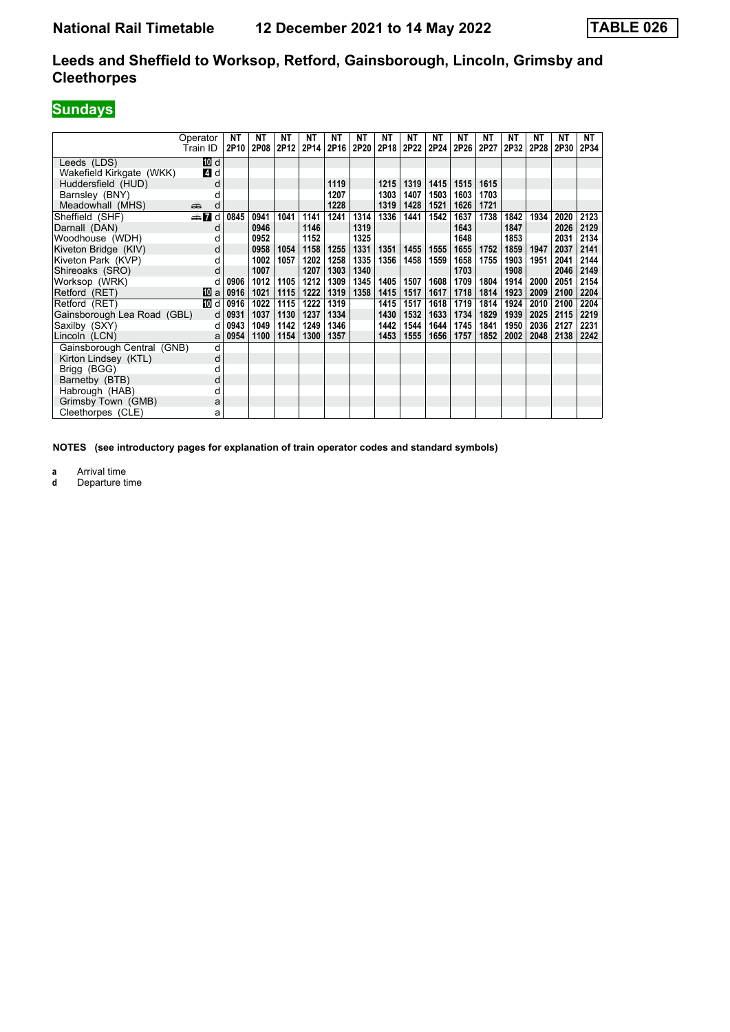### **Leeds and Sheffield to Worksop, Retford, Gainsborough, Lincoln, Grimsby and Cleethorpes**

# **Sundays**

|                             | Operator    | NΤ               | <b>NT</b>   | NΤ   | NΤ   | NΤ   | NΤ   | NΤ   | NΤ   | <b>NT</b> | ΝT   | NΤ   | NΤ   | NΤ   | ΝT   | NT   |
|-----------------------------|-------------|------------------|-------------|------|------|------|------|------|------|-----------|------|------|------|------|------|------|
|                             | Train ID    | 2P <sub>10</sub> | <b>2P08</b> | 2P12 | 2P14 | 2P16 | 2P20 | 2P18 | 2P22 | 2P24      | 2P26 | 2P27 | 2P32 | 2P28 | 2P30 | 2P34 |
| Leeds (LDS)                 | 10 d        |                  |             |      |      |      |      |      |      |           |      |      |      |      |      |      |
| Wakefield Kirkgate (WKK)    | 4 d         |                  |             |      |      |      |      |      |      |           |      |      |      |      |      |      |
| Huddersfield (HUD)          | d           |                  |             |      |      | 1119 |      | 1215 | 1319 | 1415      | 1515 | 1615 |      |      |      |      |
| Barnsley (BNY)              | d           |                  |             |      |      | 1207 |      | 1303 | 1407 | 1503      | 1603 | 1703 |      |      |      |      |
| Meadowhall (MHS)            | پېښ<br>d    |                  |             |      |      | 1228 |      | 1319 | 1428 | 1521      | 1626 | 1721 |      |      |      |      |
| Sheffield (SHF)             | d ann       | 0845             | 0941        | 1041 | 1141 | 1241 | 1314 | 1336 | 1441 | 1542      | 1637 | 1738 | 1842 | 1934 | 2020 | 2123 |
| Darnall (DAN)               | d           |                  | 0946        |      | 1146 |      | 1319 |      |      |           | 1643 |      | 1847 |      | 2026 | 2129 |
| Woodhouse (WDH)             | d           |                  | 0952        |      | 1152 |      | 1325 |      |      |           | 1648 |      | 1853 |      | 2031 | 2134 |
| Kiveton Bridge (KIV)        | d           |                  | 0958        | 1054 | 1158 | 1255 | 1331 | 1351 | 1455 | 1555      | 1655 | 1752 | 1859 | 1947 | 2037 | 2141 |
| Kiveton Park (KVP)          | d           |                  | 1002        | 1057 | 1202 | 1258 | 1335 | 1356 | 1458 | 1559      | 1658 | 1755 | 1903 | 1951 | 2041 | 2144 |
| Shireoaks (SRO)             | d           |                  | 1007        |      | 1207 | 1303 | 1340 |      |      |           | 1703 |      | 1908 |      | 2046 | 2149 |
| Worksop (WRK)               | d           | 0906             | 1012        | 1105 | 1212 | 1309 | 1345 | 1405 | 1507 | 1608      | 1709 | 1804 | 1914 | 2000 | 2051 | 2154 |
| Retford (RET)               | <b>ID</b> a | 0916             | 1021        | 1115 | 1222 | 1319 | 1358 | 1415 | 1517 | 1617      | 1718 | 1814 | 1923 | 2009 | 2100 | 2204 |
| Retford (RET)               | TM d        | 0916             | 1022        | 1115 | 1222 | 1319 |      | 1415 | 1517 | 1618      | 1719 | 1814 | 1924 | 2010 | 2100 | 2204 |
| Gainsborough Lea Road (GBL) | d           | 0931             | 1037        | 1130 | 1237 | 1334 |      | 1430 | 1532 | 1633      | 1734 | 1829 | 1939 | 2025 | 2115 | 2219 |
| Saxilby (SXY)               | d           | 0943             | 1049        | 1142 | 1249 | 1346 |      | 1442 | 1544 | 1644      | 1745 | 1841 | 1950 | 2036 | 2127 | 2231 |
| Lincoln (LCN)               | a           | 0954             | 1100        | 1154 | 1300 | 1357 |      | 1453 | 1555 | 1656      | 1757 | 1852 | 2002 | 2048 | 2138 | 2242 |
| Gainsborough Central (GNB)  | d           |                  |             |      |      |      |      |      |      |           |      |      |      |      |      |      |
| Kirton Lindsey (KTL)        | d           |                  |             |      |      |      |      |      |      |           |      |      |      |      |      |      |
| Brigg (BGG)                 | d           |                  |             |      |      |      |      |      |      |           |      |      |      |      |      |      |
| Barnetby (BTB)              | d           |                  |             |      |      |      |      |      |      |           |      |      |      |      |      |      |
| Habrough (HAB)              | d           |                  |             |      |      |      |      |      |      |           |      |      |      |      |      |      |
| Grimsby Town (GMB)          | a           |                  |             |      |      |      |      |      |      |           |      |      |      |      |      |      |
| Cleethorpes (CLE)           | а           |                  |             |      |      |      |      |      |      |           |      |      |      |      |      |      |

**NOTES (see introductory pages for explanation of train operator codes and standard symbols)**

**a** Arrival time<br>**d** Departure t

Departure time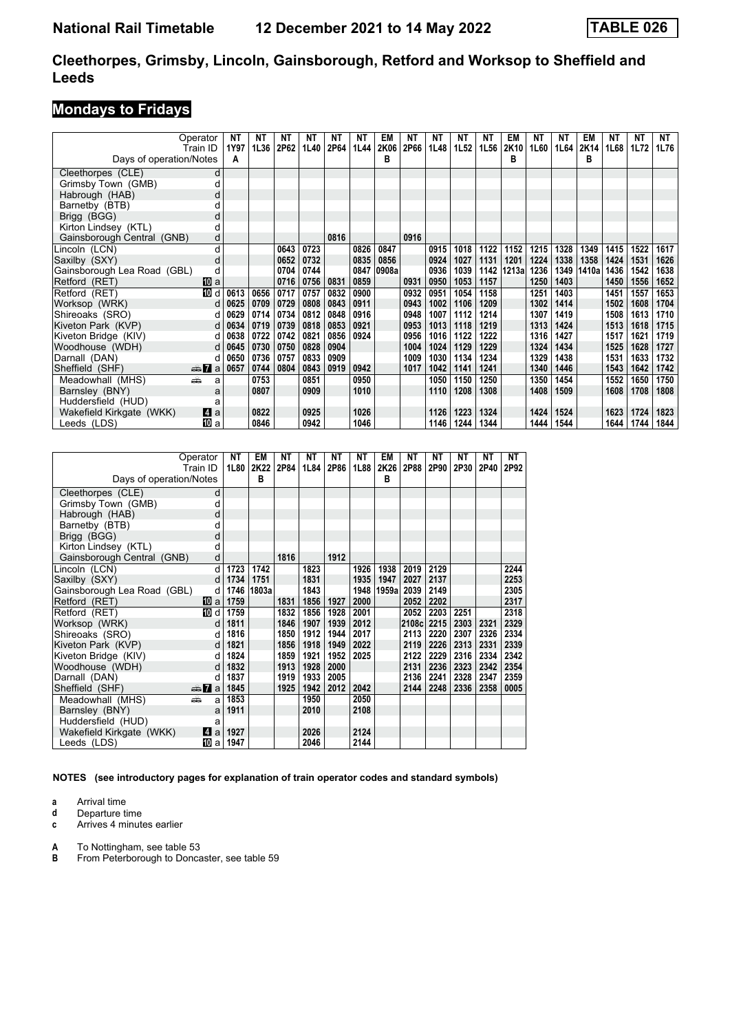#### **Cleethorpes, Grimsby, Lincoln, Gainsborough, Retford and Worksop to Sheffield and Leeds**

# **Mondays to Fridays**

|                             | Operator          | ΝT   | NT   | ΝT   | NT   | ΝT   | NT   | EM    | ΝT   | ΝT   | ΝT   | NΤ   | EM     | NΤ   | ΝT   | EM    | NT   | NΤ   | NT   |
|-----------------------------|-------------------|------|------|------|------|------|------|-------|------|------|------|------|--------|------|------|-------|------|------|------|
|                             | Train ID          | 1Y97 | 1L36 | 2P62 | 1L40 | 2P64 | 1L44 | 2K06  | 2P66 | 1L48 | 1L52 | 1L56 | 2K10   | 1L60 | 1L64 | 2K14  | 1L68 | 1L72 | 1L76 |
| Days of operation/Notes     |                   | Α    |      |      |      |      |      | в     |      |      |      |      | в      |      |      | в     |      |      |      |
| Cleethorpes (CLE)           |                   |      |      |      |      |      |      |       |      |      |      |      |        |      |      |       |      |      |      |
| Grimsby Town (GMB)          |                   |      |      |      |      |      |      |       |      |      |      |      |        |      |      |       |      |      |      |
| Habrough (HAB)              | d                 |      |      |      |      |      |      |       |      |      |      |      |        |      |      |       |      |      |      |
| Barnetby (BTB)              |                   |      |      |      |      |      |      |       |      |      |      |      |        |      |      |       |      |      |      |
| Brigg (BGG)                 |                   |      |      |      |      |      |      |       |      |      |      |      |        |      |      |       |      |      |      |
| Kirton Lindsey (KTL)        | C                 |      |      |      |      |      |      |       |      |      |      |      |        |      |      |       |      |      |      |
| Gainsborough Central (GNB)  | d                 |      |      |      |      | 0816 |      |       | 0916 |      |      |      |        |      |      |       |      |      |      |
| Lincoln (LCN)               | d                 |      |      | 0643 | 0723 |      | 0826 | 0847  |      | 0915 | 1018 | 1122 | 1152   | 1215 | 1328 | 1349  | 1415 | 1522 | 1617 |
| Saxilby (SXY)               | d                 |      |      | 0652 | 0732 |      | 0835 | 0856  |      | 0924 | 1027 | 1131 | 1201   | 1224 | 1338 | 1358  | 1424 | 1531 | 1626 |
| Gainsborough Lea Road (GBL) | d                 |      |      | 0704 | 0744 |      | 0847 | 0908a |      | 0936 | 1039 | 1142 | 1213al | 1236 | 1349 | 1410a | 1436 | 1542 | 1638 |
| Retford (RET)               | 囮 a               |      |      | 0716 | 0756 | 0831 | 0859 |       | 0931 | 0950 | 1053 | 1157 |        | 1250 | 1403 |       | 1450 | 1556 | 1652 |
| Retford (RET)               | $\overline{10}$ d | 0613 | 0656 | 0717 | 0757 | 0832 | 0900 |       | 0932 | 0951 | 1054 | 1158 |        | 1251 | 1403 |       | 1451 | 1557 | 1653 |
| Worksop (WRK)               | d                 | 0625 | 0709 | 0729 | 0808 | 0843 | 0911 |       | 0943 | 1002 | 1106 | 1209 |        | 1302 | 1414 |       | 1502 | 1608 | 1704 |
| Shireoaks (SRO)             | d                 | 0629 | 0714 | 0734 | 0812 | 0848 | 0916 |       | 0948 | 1007 | 1112 | 1214 |        | 1307 | 1419 |       | 1508 | 1613 | 1710 |
| Kiveton Park (KVP)          | d                 | 0634 | 0719 | 0739 | 0818 | 0853 | 0921 |       | 0953 | 1013 | 1118 | 1219 |        | 1313 | 1424 |       | 1513 | 1618 | 1715 |
| Kiveton Bridge (KIV)        | d                 | 0638 | 0722 | 0742 | 0821 | 0856 | 0924 |       | 0956 | 1016 | 1122 | 1222 |        | 1316 | 1427 |       | 1517 | 1621 | 1719 |
| Woodhouse (WDH)             | d                 | 0645 | 0730 | 0750 | 0828 | 0904 |      |       | 1004 | 1024 | 1129 | 1229 |        | 1324 | 1434 |       | 1525 | 1628 | 1727 |
| Darnall (DAN)               | d                 | 0650 | 0736 | 0757 | 0833 | 0909 |      |       | 1009 | 1030 | 1134 | 1234 |        | 1329 | 1438 |       | 1531 | 1633 | 1732 |
| Sheffield (SHF)             | <del>⊯</del> ∎a   | 0657 | 0744 | 0804 | 0843 | 0919 | 0942 |       | 1017 | 1042 | 1141 | 1241 |        | 1340 | 1446 |       | 1543 | 1642 | 1742 |
| Meadowhall (MHS)            | añ.<br>a          |      | 0753 |      | 0851 |      | 0950 |       |      | 1050 | 1150 | 1250 |        | 1350 | 1454 |       | 1552 | 1650 | 1750 |
| Barnsley (BNY)              | a                 |      | 0807 |      | 0909 |      | 1010 |       |      | 1110 | 1208 | 1308 |        | 1408 | 1509 |       | 1608 | 1708 | 1808 |
| Huddersfield (HUD)          |                   |      |      |      |      |      |      |       |      |      |      |      |        |      |      |       |      |      |      |
| Wakefield Kirkgate (WKK)    | ZI a              |      | 0822 |      | 0925 |      | 1026 |       |      | 1126 | 1223 | 1324 |        | 1424 | 1524 |       | 1623 | 1724 | 1823 |
| Leeds (LDS)                 | III a             |      | 0846 |      | 0942 |      | 1046 |       |      | 1146 | 1244 | 1344 |        | 1444 | 1544 |       | 1644 | 1744 | 1844 |

| Operator<br>Train ID<br>Days of operation/Notes | <b>NT</b><br>1L80 | EM<br>2K22<br>B | <b>NT</b><br>2P84 | NΤ<br>1L84 | NΤ<br>2P86 | NΤ<br>1L88 | EM<br>2K26<br>в | NΤ<br>2P88 | NΤ<br>2P90 | NΤ<br>2P30 | NΤ<br>2P40 | <b>NT</b><br>2P92 |
|-------------------------------------------------|-------------------|-----------------|-------------------|------------|------------|------------|-----------------|------------|------------|------------|------------|-------------------|
| Cleethorpes (CLE)<br>d                          |                   |                 |                   |            |            |            |                 |            |            |            |            |                   |
| Grimsby Town (GMB)<br>d                         |                   |                 |                   |            |            |            |                 |            |            |            |            |                   |
| Habrough (HAB)<br>d                             |                   |                 |                   |            |            |            |                 |            |            |            |            |                   |
| Barnetby (BTB)<br>d                             |                   |                 |                   |            |            |            |                 |            |            |            |            |                   |
| Brigg (BGG)<br>d                                |                   |                 |                   |            |            |            |                 |            |            |            |            |                   |
| Kirton Lindsey (KTL)<br>d                       |                   |                 |                   |            |            |            |                 |            |            |            |            |                   |
| d<br>Gainsborough Central (GNB)                 |                   |                 | 1816              |            | 1912       |            |                 |            |            |            |            |                   |
| d<br>Lincoln (LCN)                              | 1723              | 1742            |                   | 1823       |            | 1926       | 1938            | 2019       | 2129       |            |            | 2244              |
| Saxilby (SXY)<br>d                              | 1734              | 1751            |                   | 1831       |            | 1935       | 1947            | 2027       | 2137       |            |            | 2253              |
| Gainsborough Lea Road (GBL)<br>d                | 1746              | 1803a           |                   | 1843       |            | 1948       | 1959al          | 2039       | 2149       |            |            | 2305              |
| Retford (RET)<br>100 a                          | 1759              |                 | 1831              | 1856       | 1927       | 2000       |                 | 2052       | 2202       |            |            | 2317              |
| Retford (RET)<br>10 d                           | 1759              |                 | 1832              | 1856       | 1928       | 2001       |                 | 2052       | 2203       | 2251       |            | 2318              |
| Worksop (WRK)<br>d                              | 1811              |                 | 1846              | 1907       | 1939       | 2012       |                 | 2108c      | 2215       | 2303       | 2321       | 2329              |
| Shireoaks (SRO)<br>d                            | 1816              |                 | 1850              | 1912       | 1944       | 2017       |                 | 2113       | 2220       | 2307       | 2326       | 2334              |
| Kiveton Park (KVP)<br>d                         | 1821              |                 | 1856              | 1918       | 1949       | 2022       |                 | 2119       | 2226       | 2313       | 2331       | 2339              |
| Kiveton Bridge (KIV)                            | 1824              |                 | 1859              | 1921       | 1952       | 2025       |                 | 2122       | 2229       | 2316       | 2334       | 2342              |
| Woodhouse (WDH)<br>d                            | 1832              |                 | 1913              | 1928       | 2000       |            |                 | 2131       | 2236       | 2323       | 2342       | 2354              |
| Darnall (DAN)<br>d                              | 1837              |                 | 1919              | 1933       | 2005       |            |                 | 2136       | 2241       | 2328       | 2347       | 2359              |
| Sheffield (SHF)<br>$\frac{1}{2}$ a              | 1845              |                 | 1925              | 1942       | 2012       | 2042       |                 | 2144       | 2248       | 2336       | 2358       | 0005              |
| Meadowhall (MHS)<br>dia 1<br>a                  | 1853              |                 |                   | 1950       |            | 2050       |                 |            |            |            |            |                   |
| Barnsley (BNY)<br>a                             | 1911              |                 |                   | 2010       |            | 2108       |                 |            |            |            |            |                   |
| Huddersfield (HUD)<br>a                         |                   |                 |                   |            |            |            |                 |            |            |            |            |                   |
| Wakefield Kirkgate (WKK)<br>Z1 a                | 1927              |                 |                   | 2026       |            | 2124       |                 |            |            |            |            |                   |
| Leeds (LDS)<br>[10] a                           | 1947              |                 |                   | 2046       |            | 2144       |                 |            |            |            |            |                   |

**NOTES (see introductory pages for explanation of train operator codes and standard symbols)**

**a** Arrival time

**d** Departure time<br>**c** Arrives 4 minute

**c** Arrives 4 minutes earlier

**A** To Nottingham, see table 53

**B** From Peterborough to Doncaster, see table 59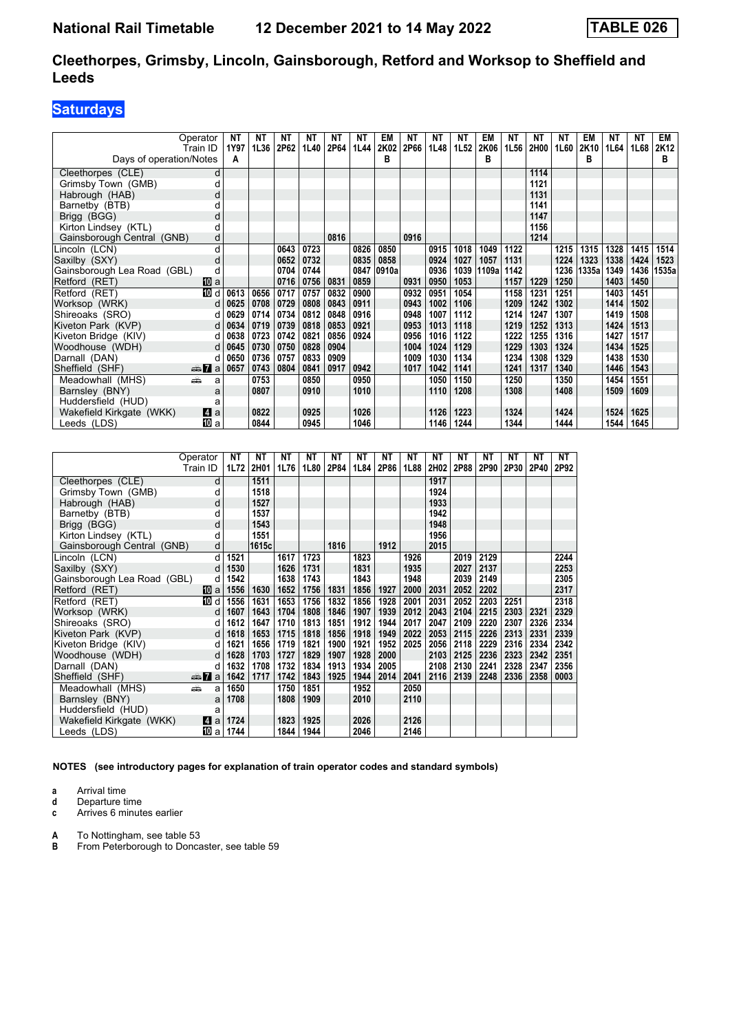### **Cleethorpes, Grimsby, Lincoln, Gainsborough, Retford and Worksop to Sheffield and Leeds**

# **Saturdays**

|                             | Operator     | NΤ   | NT   | NT   | NΤ   | NΤ   | NΤ   | EM    | NΤ   | ΝT   | NΤ   | EM    | NΤ   | NΤ   | NΤ   | EM    | NΤ   | NΤ   | EM    |
|-----------------------------|--------------|------|------|------|------|------|------|-------|------|------|------|-------|------|------|------|-------|------|------|-------|
|                             | Train ID     | 1Y97 | 1L36 | 2P62 | 1L40 | 2P64 | 1L44 | 2K02  | 2P66 | 1L48 | 1L52 | 2K06  | 1L56 | 2H00 | 1L60 | 2K10  | 1L64 | 1L68 | 2K12  |
| Days of operation/Notes     |              | А    |      |      |      |      |      | в     |      |      |      | в     |      |      |      | в     |      |      | в     |
| Cleethorpes (CLE)           | d            |      |      |      |      |      |      |       |      |      |      |       |      | 1114 |      |       |      |      |       |
| Grimsby Town (GMB)          | d            |      |      |      |      |      |      |       |      |      |      |       |      | 1121 |      |       |      |      |       |
| Habrough (HAB)              | d            |      |      |      |      |      |      |       |      |      |      |       |      | 1131 |      |       |      |      |       |
| Barnetby (BTB)              |              |      |      |      |      |      |      |       |      |      |      |       |      | 1141 |      |       |      |      |       |
| Brigg (BGG)                 | d            |      |      |      |      |      |      |       |      |      |      |       |      | 1147 |      |       |      |      |       |
| Kirton Lindsey (KTL)        | d            |      |      |      |      |      |      |       |      |      |      |       |      | 1156 |      |       |      |      |       |
| Gainsborough Central (GNB)  | d            |      |      |      |      | 0816 |      |       | 0916 |      |      |       |      | 1214 |      |       |      |      |       |
| Lincoln (LCN)               | d            |      |      | 0643 | 0723 |      | 0826 | 0850  |      | 0915 | 1018 | 1049  | 1122 |      | 1215 | 1315  | 1328 | 1415 | 1514  |
| Saxilby (SXY)               | d            |      |      | 0652 | 0732 |      | 0835 | 0858  |      | 0924 | 1027 | 1057  | 1131 |      | 1224 | 1323  | 1338 | 1424 | 1523  |
| Gainsborough Lea Road (GBL) | d            |      |      | 0704 | 0744 |      | 0847 | 0910a |      | 0936 | 1039 | 1109a | 1142 |      | 1236 | 1335a | 1349 | 1436 | 1535a |
| Retford (RET)               | 凹 a          |      |      | 0716 | 0756 | 0831 | 0859 |       | 0931 | 0950 | 1053 |       | 1157 | 1229 | 1250 |       | 1403 | 1450 |       |
| Retford (RET)               | <b>ID</b> d  | 0613 | 0656 | 0717 | 0757 | 0832 | 0900 |       | 0932 | 0951 | 1054 |       | 1158 | 1231 | 1251 |       | 1403 | 1451 |       |
| Worksop (WRK)               | d            | 0625 | 0708 | 0729 | 0808 | 0843 | 0911 |       | 0943 | 1002 | 1106 |       | 1209 | 1242 | 1302 |       | 1414 | 1502 |       |
| Shireoaks (SRO)             | d            | 0629 | 0714 | 0734 | 0812 | 0848 | 0916 |       | 0948 | 1007 | 1112 |       | 1214 | 1247 | 1307 |       | 1419 | 1508 |       |
| Kiveton Park (KVP)          | d            | 0634 | 0719 | 0739 | 0818 | 0853 | 0921 |       | 0953 | 1013 | 1118 |       | 1219 | 1252 | 1313 |       | 1424 | 1513 |       |
| Kiveton Bridge (KIV)        | d            | 0638 | 0723 | 0742 | 0821 | 0856 | 0924 |       | 0956 | 1016 | 1122 |       | 1222 | 1255 | 1316 |       | 1427 | 1517 |       |
| Woodhouse (WDH)             | d            | 0645 | 0730 | 0750 | 0828 | 0904 |      |       | 1004 | 1024 | 1129 |       | 1229 | 1303 | 1324 |       | 1434 | 1525 |       |
| Darnall (DAN)               | d            | 0650 | 0736 | 0757 | 0833 | 0909 |      |       | 1009 | 1030 | 1134 |       | 1234 | 1308 | 1329 |       | 1438 | 1530 |       |
| Sheffield (SHF)             | <b>and a</b> | 0657 | 0743 | 0804 | 0841 | 0917 | 0942 |       | 1017 | 1042 | 1141 |       | 1241 | 1317 | 1340 |       | 1446 | 1543 |       |
| Meadowhall (MHS)            | añ,<br>a     |      | 0753 |      | 0850 |      | 0950 |       |      | 1050 | 1150 |       | 1250 |      | 1350 |       | 1454 | 1551 |       |
| Barnsley (BNY)              | a            |      | 0807 |      | 0910 |      | 1010 |       |      | 1110 | 1208 |       | 1308 |      | 1408 |       | 1509 | 1609 |       |
| Huddersfield (HUD)          |              |      |      |      |      |      |      |       |      |      |      |       |      |      |      |       |      |      |       |
| Wakefield Kirkgate (WKK)    | ZI a         |      | 0822 |      | 0925 |      | 1026 |       |      | 1126 | 1223 |       | 1324 |      | 1424 |       | 1524 | 1625 |       |
| Leeds (LDS)                 | III a        |      | 0844 |      | 0945 |      | 1046 |       |      | 1146 | 1244 |       | 1344 |      | 1444 |       | 1544 | 1645 |       |

|                             | Operator<br>Train ID                                                                                                                                                                                                               | <b>NT</b><br>1L72 | <b>NT</b><br>2H01 | NΤ<br>1L76 | NΤ<br>1L80 | <b>NT</b><br>2P84 | <b>NT</b><br>1L84 | <b>NT</b><br>2P86 | NΤ<br>1L88 | NΤ<br>2H02 | ΝT<br>2P88 | <b>NT</b><br>2P90 | ΝT<br>2P30 | ΝT<br>2P40 | <b>NT</b><br>2P92 |
|-----------------------------|------------------------------------------------------------------------------------------------------------------------------------------------------------------------------------------------------------------------------------|-------------------|-------------------|------------|------------|-------------------|-------------------|-------------------|------------|------------|------------|-------------------|------------|------------|-------------------|
| Cleethorpes (CLE)           | d                                                                                                                                                                                                                                  |                   | 1511              |            |            |                   |                   |                   |            | 1917       |            |                   |            |            |                   |
| Grimsby Town (GMB)          | d                                                                                                                                                                                                                                  |                   | 1518              |            |            |                   |                   |                   |            | 1924       |            |                   |            |            |                   |
| Habrough (HAB)              | d                                                                                                                                                                                                                                  |                   | 1527              |            |            |                   |                   |                   |            | 1933       |            |                   |            |            |                   |
| Barnetby (BTB)              | d                                                                                                                                                                                                                                  |                   | 1537              |            |            |                   |                   |                   |            | 1942       |            |                   |            |            |                   |
| Brigg (BGG)                 | d                                                                                                                                                                                                                                  |                   | 1543              |            |            |                   |                   |                   |            | 1948       |            |                   |            |            |                   |
| Kirton Lindsey (KTL)        | d                                                                                                                                                                                                                                  |                   | 1551              |            |            |                   |                   |                   |            | 1956       |            |                   |            |            |                   |
| Gainsborough Central (GNB)  | d                                                                                                                                                                                                                                  |                   | 1615c             |            |            | 1816              |                   | 1912              |            | 2015       |            |                   |            |            |                   |
| Lincoln (LCN)               | d                                                                                                                                                                                                                                  | 1521              |                   | 1617       | 1723       |                   | 1823              |                   | 1926       |            | 2019       | 2129              |            |            | 2244              |
| Saxilby (SXY)               | d                                                                                                                                                                                                                                  | 1530              |                   | 1626       | 1731       |                   | 1831              |                   | 1935       |            | 2027       | 2137              |            |            | 2253              |
| Gainsborough Lea Road (GBL) | d                                                                                                                                                                                                                                  | 1542              |                   | 1638       | 1743       |                   | 1843              |                   | 1948       |            | 2039       | 2149              |            |            | 2305              |
| Retford (RET)               | 10 a                                                                                                                                                                                                                               | 1556              | 1630              | 1652       | 1756       | 1831              | 1856              | 1927              | 2000       | 2031       | 2052       | 2202              |            |            | 2317              |
| Retford (RET)               | 10 d                                                                                                                                                                                                                               | 1556              | 1631              | 1653       | 1756       | 1832              | 1856              | 1928              | 2001       | 2031       | 2052       | 2203              | 2251       |            | 2318              |
| Worksop (WRK)               | d                                                                                                                                                                                                                                  | 1607              | 1643              | 1704       | 1808       | 1846              | 1907              | 1939              | 2012       | 2043       | 2104       | 2215              | 2303       | 2321       | 2329              |
| Shireoaks (SRO)             | d                                                                                                                                                                                                                                  | 1612              | 1647              | 1710       | 1813       | 1851              | 1912              | 1944              | 2017       | 2047       | 2109       | 2220              | 2307       | 2326       | 2334              |
| Kiveton Park (KVP)          | d                                                                                                                                                                                                                                  | 1618              | 1653              | 1715       | 1818       | 1856              | 1918              | 1949              | 2022       | 2053       | 2115       | 2226              | 2313       | 2331       | 2339              |
| Kiveton Bridge (KIV)        | d                                                                                                                                                                                                                                  | 1621              | 1656              | 1719       | 1821       | 1900              | 1921              | 1952              | 2025       | 2056       | 2118       | 2229              | 2316       | 2334       | 2342              |
| Woodhouse (WDH)             | d                                                                                                                                                                                                                                  | 1628              | 1703              | 1727       | 1829       | 1907              | 1928              | 2000              |            | 2103       | 2125       | 2236              | 2323       | 2342       | 2351              |
| Darnall (DAN)               | d                                                                                                                                                                                                                                  | 1632              | 1708              | 1732       | 1834       | 1913              | 1934              | 2005              |            | 2108       | 2130       | 2241              | 2328       | 2347       | 2356              |
| Sheffield (SHF)             | <del>⊯</del> ∎a                                                                                                                                                                                                                    | 1642              | 1717              | 1742       | 1843       | 1925              | 1944              | 2014              | 2041       | 2116       | 2139       | 2248              | 2336       | 2358       | 0003              |
| Meadowhall (MHS)            | and the second second second second the second second second second second second second second second second second second second second second second second second second second second second second second second second<br>a | 1650              |                   | 1750       | 1851       |                   | 1952              |                   | 2050       |            |            |                   |            |            |                   |
| Barnsley (BNY)              | a                                                                                                                                                                                                                                  | 1708              |                   | 1808       | 1909       |                   | 2010              |                   | 2110       |            |            |                   |            |            |                   |
| Huddersfield (HUD)          | a                                                                                                                                                                                                                                  |                   |                   |            |            |                   |                   |                   |            |            |            |                   |            |            |                   |
| Wakefield Kirkgate (WKK)    | ZI a                                                                                                                                                                                                                               | 1724              |                   | 1823       | 1925       |                   | 2026              |                   | 2126       |            |            |                   |            |            |                   |
| Leeds (LDS)                 | [10] a                                                                                                                                                                                                                             | 1744              |                   | 1844       | 1944       |                   | 2046              |                   | 2146       |            |            |                   |            |            |                   |

**NOTES (see introductory pages for explanation of train operator codes and standard symbols)**

- **a** Arrival time<br>**d** Departure t
- **d** Departure time
- **c** Arrives 6 minutes earlier
- **A** To Nottingham, see table 53<br>**B** From Peterborough to Donca
- From Peterborough to Doncaster, see table 59